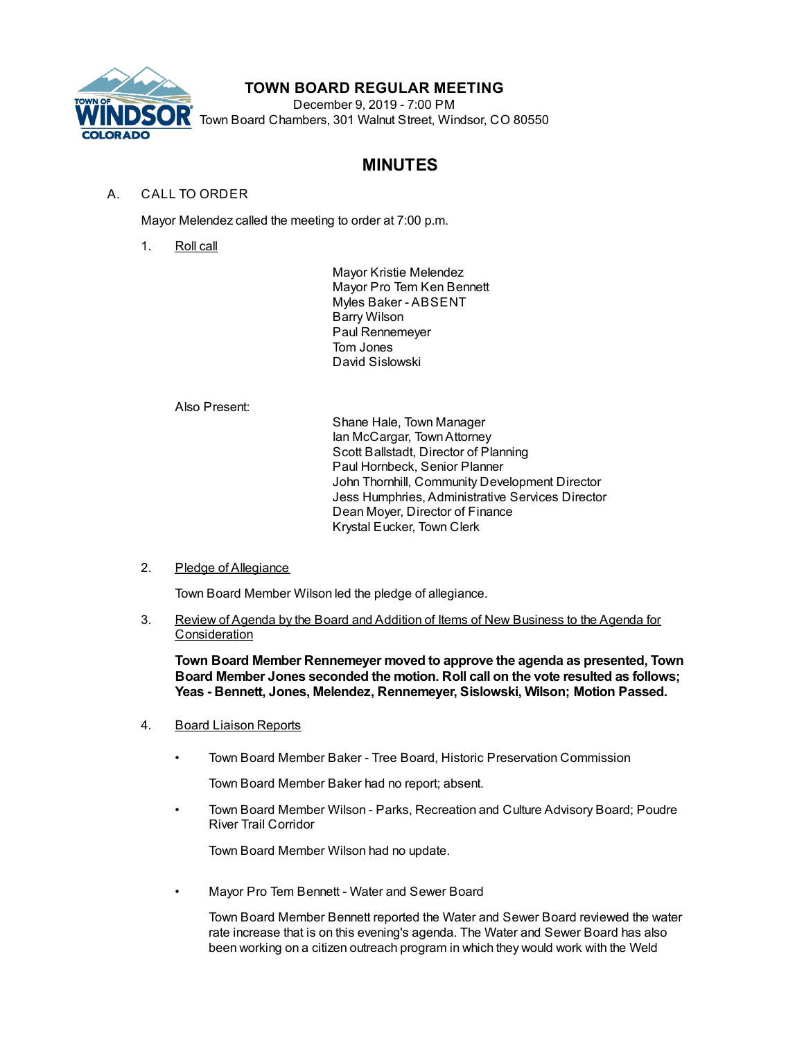

# **TOWN BOARD REGULAR MEETING**

December 9, 2019 - 7:00 PM Town Board Chambers, 301 Walnut Street, Windsor, CO 80550

# **MINUTES**

# A. CALL TO ORDER

Mayor Melendez called the meeting to order at 7:00 p.m.

1. Roll call

Mayor Kristie Melendez Mayor Pro Tem Ken Bennett Myles Baker - ABSENT Barry Wilson Paul Rennemeyer Tom Jones David Sislowski

Also Present:

Shane Hale, Town Manager Ian McCargar, TownAttorney Scott Ballstadt, Director of Planning Paul Hornbeck, Senior Planner John Thornhill, Community Development Director Jess Humphries, Administrative Services Director Dean Moyer, Director of Finance Krystal Eucker, Town Clerk

2. Pledge of Allegiance

Town Board Member Wilson led the pledge of allegiance.

3. Review of Agenda by the Board and Addition of Items of New Business to the Agenda for Consideration

**Town Board Member Rennemeyer moved to approve the agenda as presented, Town Board Member Jones seconded the motion. Roll call on the vote resulted as follows; Yeas - Bennett, Jones, Melendez, Rennemeyer, Sislowski, Wilson; Motion Passed.**

- 4. Board Liaison Reports
	- Town Board Member Baker Tree Board, Historic Preservation Commission

Town Board Member Baker had no report; absent.

• Town Board Member Wilson - Parks, Recreation and Culture Advisory Board; Poudre River Trail Corridor

Town Board Member Wilson had no update.

• Mayor Pro Tem Bennett - Water and Sewer Board

Town Board Member Bennett reported the Water and Sewer Board reviewed the water rate increase that is on this evening's agenda. The Water and Sewer Board has also been working on a citizen outreach program in which they would work with the Weld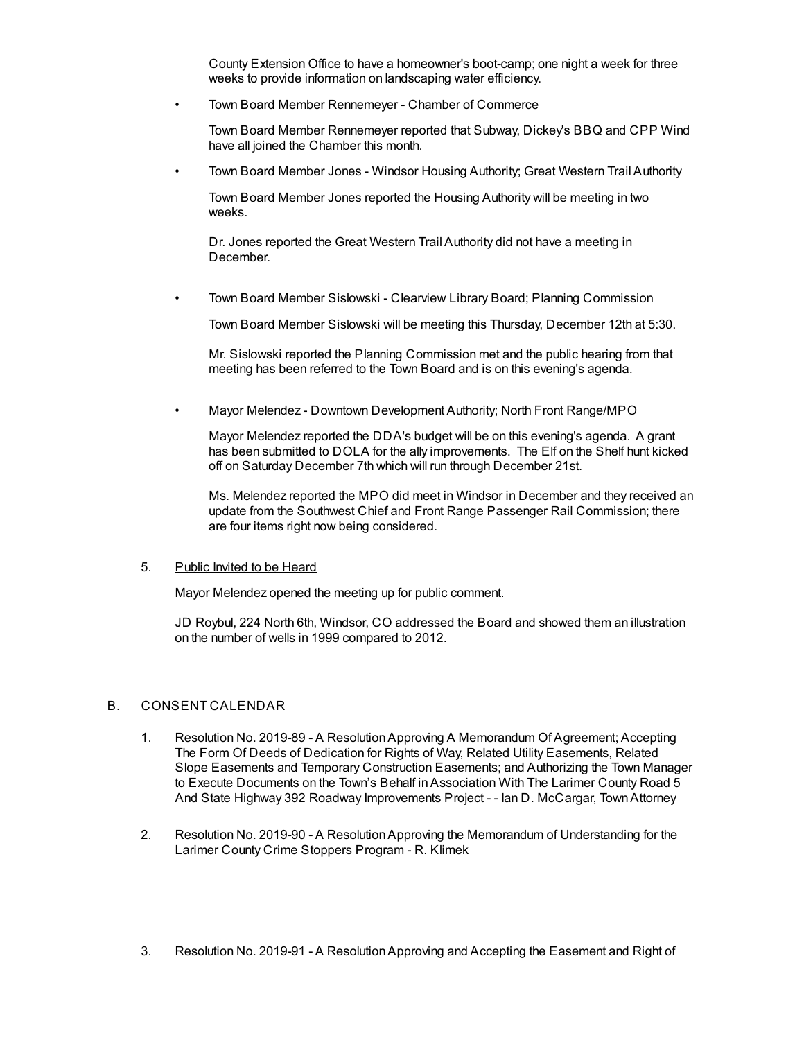County Extension Office to have a homeowner's boot-camp; one night a week for three weeks to provide information on landscaping water efficiency.

• Town Board Member Rennemeyer - Chamber of Commerce

Town Board Member Rennemeyer reported that Subway, Dickey's BBQ and CPP Wind have all joined the Chamber this month.

• Town Board Member Jones - Windsor Housing Authority; Great Western Trail Authority

Town Board Member Jones reported the Housing Authority will be meeting in two weeks.

Dr. Jones reported the Great Western Trail Authority did not have a meeting in December.

• Town Board Member Sislowski - Clearview Library Board; Planning Commission

Town Board Member Sislowski will be meeting this Thursday, December 12th at 5:30.

Mr. Sislowski reported the Planning Commission met and the public hearing from that meeting has been referred to the Town Board and is on this evening's agenda.

• Mayor Melendez - Downtown Development Authority; North Front Range/MPO

Mayor Melendez reported the DDA's budget will be on this evening's agenda. A grant has been submitted to DOLA for the ally improvements. The Elf on the Shelf hunt kicked off on Saturday December 7th which will run through December 21st.

Ms. Melendez reported the MPO did meet in Windsor in December and they received an update from the Southwest Chief and Front Range Passenger Rail Commission; there are four items right now being considered.

#### 5. Public Invited to be Heard

Mayor Melendez opened the meeting up for public comment.

JD Roybul, 224 North 6th, Windsor, CO addressed the Board and showed them an illustration on the number of wells in 1999 compared to 2012.

#### B. CONSENT CALENDAR

- 1. Resolution No. 2019-89 A ResolutionApproving A Memorandum Of Agreement; Accepting The Form Of Deeds of Dedication for Rights of Way, Related Utility Easements, Related Slope Easements and Temporary Construction Easements; and Authorizing the Town Manager to Execute Documents on the Town's Behalf inAssociation With The Larimer County Road 5 And State Highway 392 Roadway Improvements Project - - Ian D. McCargar, TownAttorney
- 2. Resolution No. 2019-90 A ResolutionApproving the Memorandum of Understanding for the Larimer County Crime Stoppers Program - R. Klimek
- 3. Resolution No. 2019-91 A ResolutionApproving and Accepting the Easement and Right of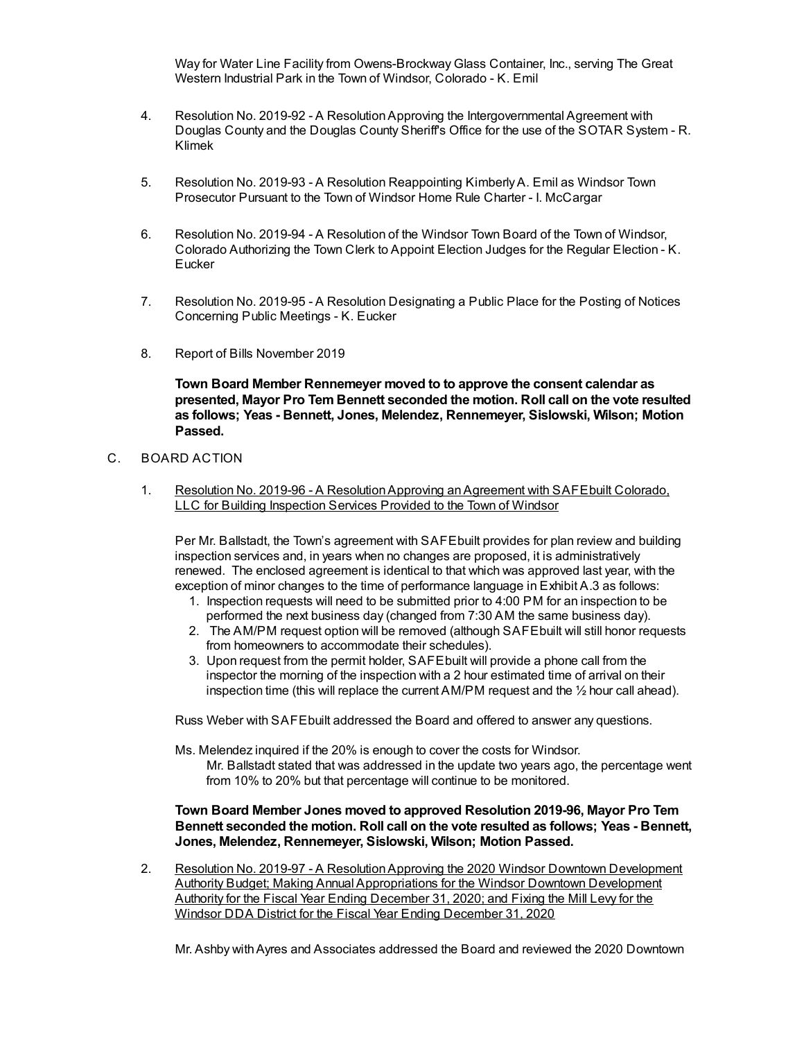Way for Water Line Facility from Owens-Brockway Glass Container, Inc., serving The Great Western Industrial Park in the Town of Windsor, Colorado - K. Emil

- 4. Resolution No. 2019-92 A ResolutionApproving the Intergovernmental Agreement with Douglas County and the Douglas County Sheriff's Office for the use of the SOTAR System - R. Klimek
- 5. Resolution No. 2019-93 A Resolution Reappointing KimberlyA. Emil as Windsor Town Prosecutor Pursuant to the Town of Windsor Home Rule Charter - I. McCargar
- 6. Resolution No. 2019-94 A Resolution of the Windsor Town Board of the Town of Windsor, Colorado Authorizing the Town Clerk to Appoint Election Judges for the Regular Election - K. **Eucker**
- 7. Resolution No. 2019-95 A Resolution Designating a Public Place for the Posting of Notices Concerning Public Meetings - K. Eucker
- 8. Report of Bills November 2019

**Town Board Member Rennemeyer moved to to approve the consent calendar as presented, Mayor Pro Tem Bennett seconded the motion. Roll call on the vote resulted as follows; Yeas - Bennett, Jones, Melendez, Rennemeyer, Sislowski, Wilson; Motion Passed.**

### C. BOARD ACTION

1. Resolution No. 2019-96 - A Resolution Approving an Agreement with SAFE built Colorado, LLC for Building Inspection Services Provided to the Town of Windsor

Per Mr. Ballstadt, the Town's agreement with SAFEbuilt provides for plan review and building inspection services and, in years when no changes are proposed, it is administratively renewed. The enclosed agreement is identical to that which was approved last year, with the exception of minor changes to the time of performance language in Exhibit A.3 as follows:

- 1. Inspection requests will need to be submitted prior to 4:00 PM for an inspection to be performed the next business day (changed from 7:30 AM the same business day).
- 2. The AM/PM request option will be removed (although SAFEbuilt will still honor requests from homeowners to accommodate their schedules).
- 3. Upon request from the permit holder, SAFEbuilt will provide a phone call from the inspector the morning of the inspection with a 2 hour estimated time of arrival on their inspection time (this will replace the current AM/PM request and the ½ hour call ahead).

Russ Weber with SAFEbuilt addressed the Board and offered to answer any questions.

Ms. Melendez inquired if the 20% is enough to cover the costs for Windsor.

Mr. Ballstadt stated that was addressed in the update two years ago, the percentage went from 10% to 20% but that percentage will continue to be monitored.

### **Town Board Member Jones moved to approved Resolution 2019-96, Mayor Pro Tem Bennett seconded the motion. Roll call on the vote resulted as follows; Yeas - Bennett, Jones, Melendez, Rennemeyer, Sislowski, Wilson; Motion Passed.**

2. Resolution No. 2019-97 - A ResolutionApproving the 2020 Windsor Downtown Development Authority Budget; Making Annual Appropriations for the Windsor Downtown Development Authority for the Fiscal Year Ending December 31, 2020; and Fixing the Mill Levy for the Windsor DDA District for the Fiscal Year Ending December 31, 2020

Mr. Ashby withAyres and Associates addressed the Board and reviewed the 2020 Downtown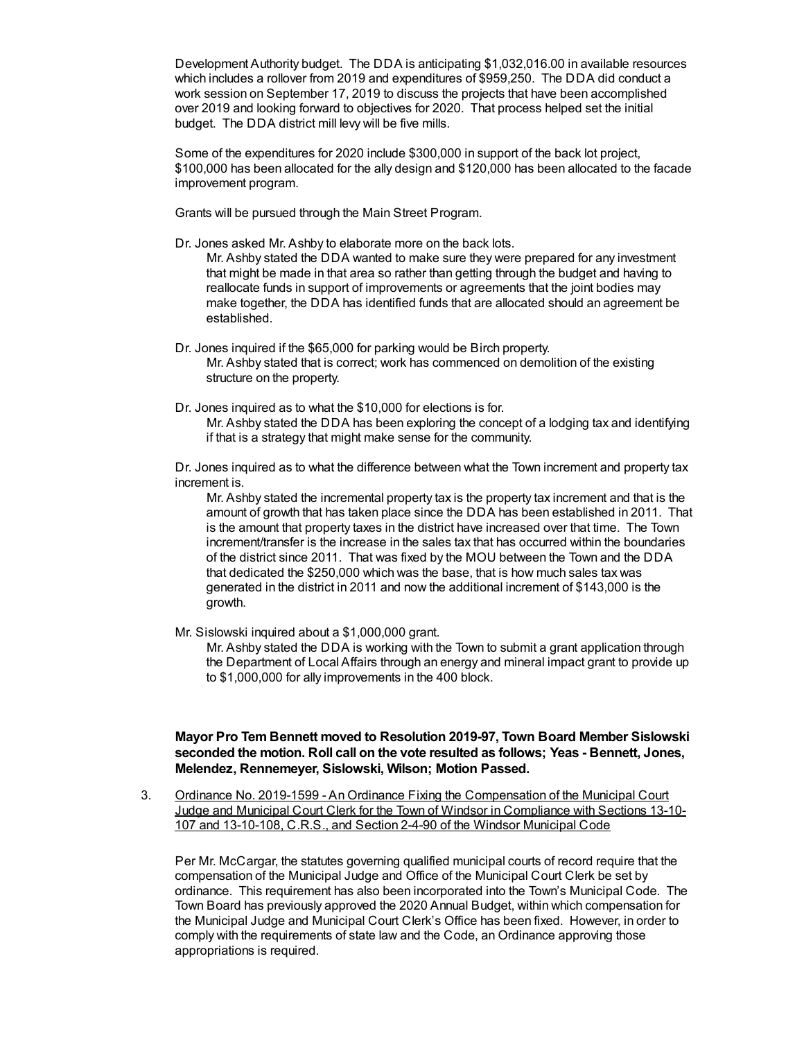Development Authority budget. The DDA is anticipating \$1,032,016.00 in available resources which includes a rollover from 2019 and expenditures of \$959,250. The DDA did conduct a work session on September 17, 2019 to discuss the projects that have been accomplished over 2019 and looking forward to objectives for 2020. That process helped set the initial budget. The DDA district mill levy will be five mills.

Some of the expenditures for 2020 include \$300,000 in support of the back lot project, \$100,000 has been allocated for the ally design and \$120,000 has been allocated to the facade improvement program.

Grants will be pursued through the Main Street Program.

Dr. Jones asked Mr. Ashby to elaborate more on the back lots.

Mr. Ashby stated the DDA wanted to make sure they were prepared for any investment that might be made in that area so rather than getting through the budget and having to reallocate funds in support of improvements or agreements that the joint bodies may make together, the DDA has identified funds that are allocated should an agreement be established.

- Dr. Jones inquired if the \$65,000 for parking would be Birch property. Mr. Ashby stated that is correct; work has commenced on demolition of the existing structure on the property.
- Dr. Jones inquired as to what the \$10,000 for elections is for. Mr. Ashby stated the DDA has been exploring the concept of a lodging tax and identifying if that is a strategy that might make sense for the community.

Dr. Jones inquired as to what the difference between what the Town increment and property tax increment is.

Mr. Ashby stated the incremental property tax is the property tax increment and that is the amount of growth that has taken place since the DDA has been established in 2011. That is the amount that property taxes in the district have increased over that time. The Town increment/transfer is the increase in the sales tax that has occurred within the boundaries of the district since 2011. That was fixed by the MOU between the Town and the DDA that dedicated the \$250,000 which was the base, that is how much sales tax was generated in the district in 2011 and now the additional increment of \$143,000 is the growth.

Mr. Sislowski inquired about a \$1,000,000 grant.

Mr. Ashby stated the DDA is working with the Town to submit a grant application through the Department of Local Affairs through an energy and mineral impact grant to provide up to \$1,000,000 for ally improvements in the 400 block.

### **Mayor Pro Tem Bennett moved to Resolution 2019-97, Town Board Member Sislowski seconded the motion. Roll call on the vote resulted as follows; Yeas - Bennett, Jones, Melendez, Rennemeyer, Sislowski, Wilson; Motion Passed.**

3. Ordinance No. 2019-1599 - An Ordinance Fixing the Compensation of the Municipal Court Judge and Municipal Court Clerk for the Town of Windsor in Compliance with Sections 13-10- 107 and 13-10-108, C.R.S., and Section 2-4-90 of the Windsor Municipal Code

Per Mr. McCargar, the statutes governing qualified municipal courts of record require that the compensation of the Municipal Judge and Office of the Municipal Court Clerk be set by ordinance. This requirement has also been incorporated into the Town's Municipal Code. The Town Board has previously approved the 2020 Annual Budget, within which compensation for the Municipal Judge and Municipal Court Clerk's Office has been fixed. However, in order to comply with the requirements of state law and the Code, an Ordinance approving those appropriations is required.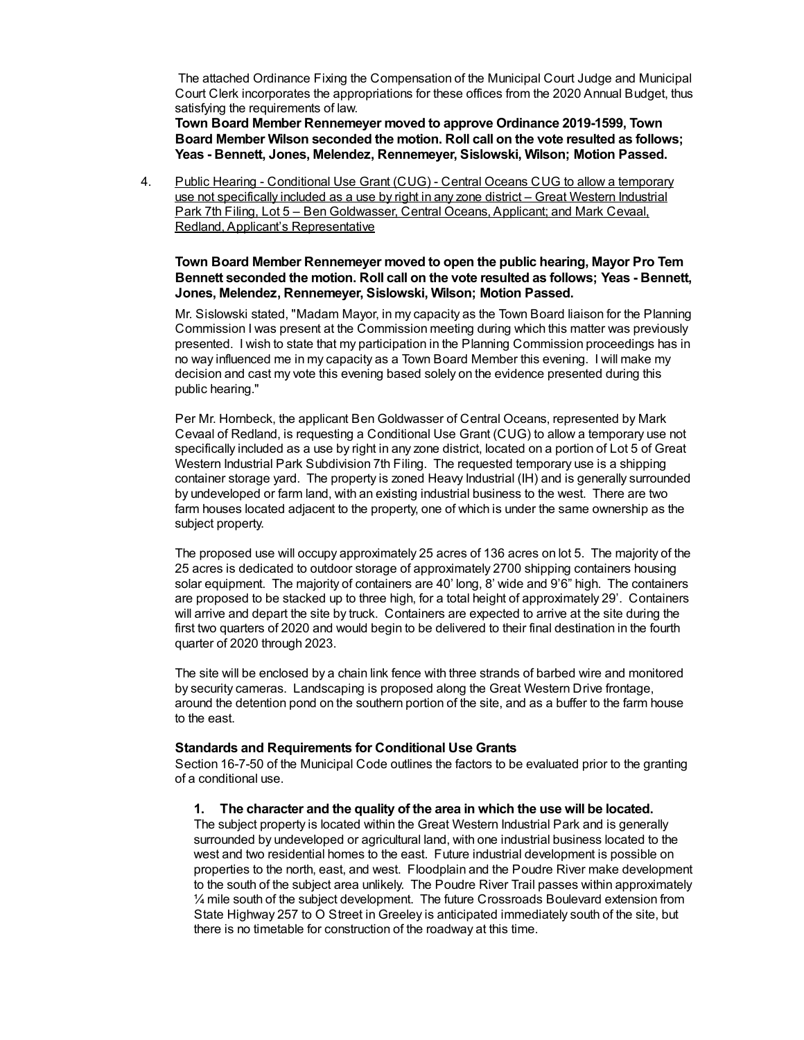The attached Ordinance Fixing the Compensation of the Municipal Court Judge and Municipal Court Clerk incorporates the appropriations for these offices from the 2020 Annual Budget, thus satisfying the requirements of law.

**Town Board Member Rennemeyer moved to approve Ordinance 2019-1599, Town Board Member Wilson seconded the motion. Roll call on the vote resulted as follows; Yeas - Bennett, Jones, Melendez, Rennemeyer, Sislowski, Wilson; Motion Passed.**

4. Public Hearing - Conditional Use Grant (CUG) - Central Oceans CUG to allow a temporary use not specifically included as a use by right in any zone district – Great Western Industrial Park 7th Filing, Lot 5 – Ben Goldwasser, Central Oceans, Applicant; and Mark Cevaal, Redland, Applicant's Representative

### **Town Board Member Rennemeyer moved to open the public hearing, Mayor Pro Tem Bennett seconded the motion. Roll call on the vote resulted as follows; Yeas - Bennett, Jones, Melendez, Rennemeyer, Sislowski, Wilson; Motion Passed.**

Mr. Sislowski stated, "Madam Mayor, in my capacity as the Town Board liaison for the Planning Commission I was present at the Commission meeting during which this matter was previously presented. I wish to state that my participation in the Planning Commission proceedings has in no way influenced me in my capacity as a Town Board Member this evening. I will make my decision and cast my vote this evening based solely on the evidence presented during this public hearing."

Per Mr. Hornbeck, the applicant Ben Goldwasser of Central Oceans, represented by Mark Cevaal of Redland, is requesting a Conditional Use Grant (CUG) to allow a temporary use not specifically included as a use by right in any zone district, located on a portion of Lot 5 of Great Western Industrial Park Subdivision 7th Filing. The requested temporary use is a shipping container storage yard. The property is zoned Heavy Industrial (IH) and is generally surrounded by undeveloped or farm land, with an existing industrial business to the west. There are two farm houses located adjacent to the property, one of which is under the same ownership as the subject property.

The proposed use will occupy approximately 25 acres of 136 acres on lot 5. The majority of the 25 acres is dedicated to outdoor storage of approximately 2700 shipping containers housing solar equipment. The majority of containers are 40' long, 8' wide and 9'6" high. The containers are proposed to be stacked up to three high, for a total height of approximately 29'. Containers will arrive and depart the site by truck. Containers are expected to arrive at the site during the first two quarters of 2020 and would begin to be delivered to their final destination in the fourth quarter of 2020 through 2023.

The site will be enclosed by a chain link fence with three strands of barbed wire and monitored by security cameras. Landscaping is proposed along the Great Western Drive frontage, around the detention pond on the southern portion of the site, and as a buffer to the farm house to the east.

### **Standards and Requirements for Conditional Use Grants**

Section 16-7-50 of the Municipal Code outlines the factors to be evaluated prior to the granting of a conditional use.

### **1. The character and the quality of the area in which the use will be located.**

The subject property is located within the Great Western Industrial Park and is generally surrounded by undeveloped or agricultural land, with one industrial business located to the west and two residential homes to the east. Future industrial development is possible on properties to the north, east, and west. Floodplain and the Poudre River make development to the south of the subject area unlikely. The Poudre River Trail passes within approximately ¼ mile south of the subject development. The future Crossroads Boulevard extension from State Highway 257 to O Street in Greeley is anticipated immediately south of the site, but there is no timetable for construction of the roadway at this time.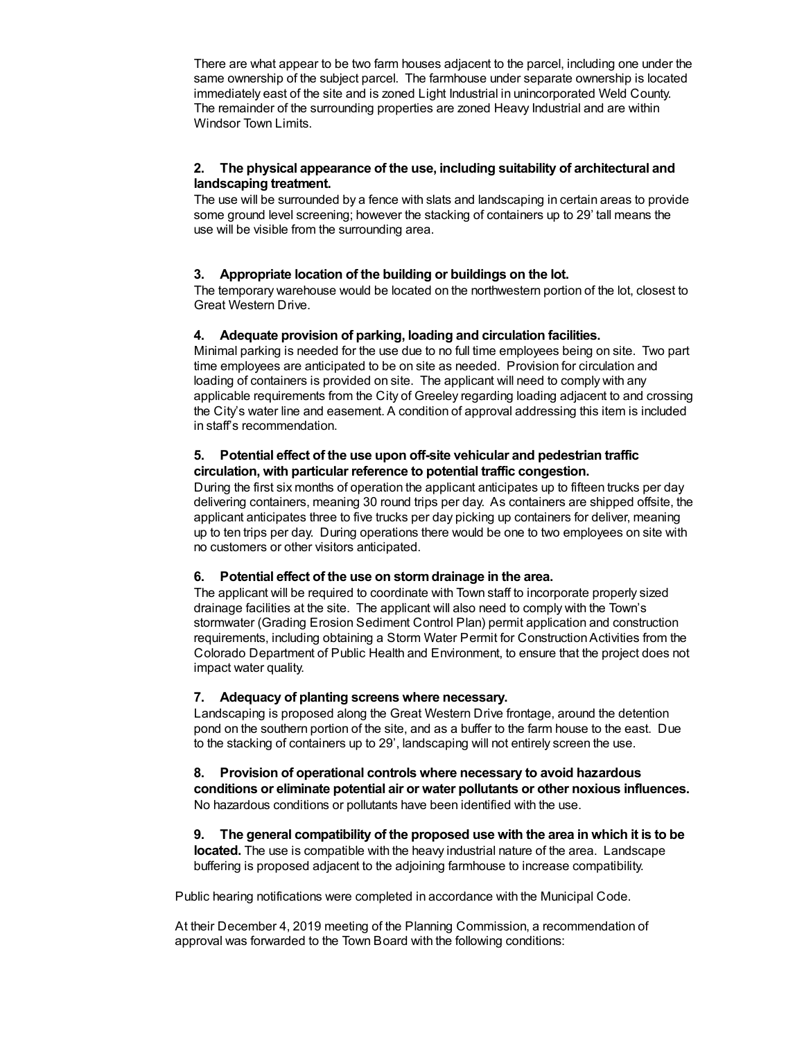There are what appear to be two farm houses adjacent to the parcel, including one under the same ownership of the subject parcel. The farmhouse under separate ownership is located immediately east of the site and is zoned Light Industrial in unincorporated Weld County. The remainder of the surrounding properties are zoned Heavy Industrial and are within Windsor Town Limits.

## **2. The physical appearance of the use, including suitability of architectural and landscaping treatment.**

The use will be surrounded by a fence with slats and landscaping in certain areas to provide some ground level screening; however the stacking of containers up to 29' tall means the use will be visible from the surrounding area.

## **3. Appropriate location of the building or buildings on the lot.**

The temporary warehouse would be located on the northwestern portion of the lot, closest to Great Western Drive.

## **4. Adequate provision of parking, loading and circulation facilities.**

Minimal parking is needed for the use due to no full time employees being on site. Two part time employees are anticipated to be on site as needed. Provision for circulation and loading of containers is provided on site. The applicant will need to comply with any applicable requirements from the City of Greeley regarding loading adjacent to and crossing the City's water line and easement. A condition of approval addressing this item is included in staff's recommendation.

### **5. Potential effect of the use upon off-site vehicular and pedestrian traffic circulation, with particular reference to potential traffic congestion.**

During the first six months of operation the applicant anticipates up to fifteen trucks per day delivering containers, meaning 30 round trips per day. As containers are shipped offsite, the applicant anticipates three to five trucks per day picking up containers for deliver, meaning up to ten trips per day. During operations there would be one to two employees on site with no customers or other visitors anticipated.

### **6. Potential effect of the use on stormdrainage in the area.**

The applicant will be required to coordinate with Town staff to incorporate properly sized drainage facilities at the site. The applicant will also need to comply with the Town's stormwater (Grading Erosion Sediment Control Plan) permit application and construction requirements, including obtaining a Storm Water Permit for ConstructionActivities from the Colorado Department of Public Health and Environment, to ensure that the project does not impact water quality.

### **7. Adequacy of planting screens where necessary.**

Landscaping is proposed along the Great Western Drive frontage, around the detention pond on the southern portion of the site, and as a buffer to the farm house to the east. Due to the stacking of containers up to 29', landscaping will not entirely screen the use.

### **8. Provision of operational controls where necessary to avoid hazardous conditions or eliminate potential air or water pollutants or other noxious influences.** No hazardous conditions or pollutants have been identified with the use.

**9. The general compatibility of the proposed use with the area in which it is to be located.** The use is compatible with the heavy industrial nature of the area. Landscape buffering is proposed adjacent to the adjoining farmhouse to increase compatibility.

Public hearing notifications were completed in accordance with the Municipal Code.

At their December 4, 2019 meeting of the Planning Commission, a recommendation of approval was forwarded to the Town Board with the following conditions: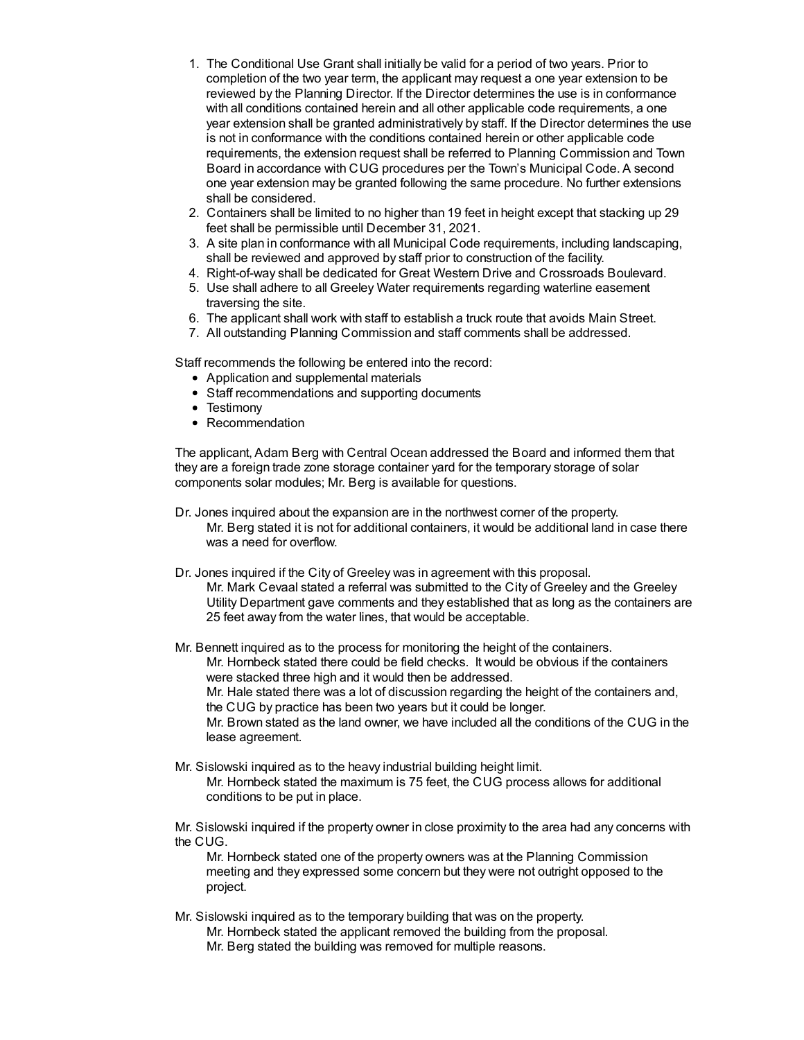- 1. The Conditional Use Grant shall initially be valid for a period of two years. Prior to completion of the two year term, the applicant may request a one year extension to be reviewed by the Planning Director. If the Director determines the use is in conformance with all conditions contained herein and all other applicable code requirements, a one year extension shall be granted administratively by staff. If the Director determines the use is not in conformance with the conditions contained herein or other applicable code requirements, the extension request shall be referred to Planning Commission and Town Board in accordance with CUG procedures per the Town's Municipal Code. A second one year extension may be granted following the same procedure. No further extensions shall be considered.
- 2. Containers shall be limited to no higher than 19 feet in height except that stacking up 29 feet shall be permissible until December 31, 2021.
- 3. A site plan in conformance with all Municipal Code requirements, including landscaping, shall be reviewed and approved by staff prior to construction of the facility.
- 4. Right-of-way shall be dedicated for Great Western Drive and Crossroads Boulevard.
- 5. Use shall adhere to all Greeley Water requirements regarding waterline easement traversing the site.
- 6. The applicant shall work with staff to establish a truck route that avoids Main Street.
- 7. All outstanding Planning Commission and staff comments shall be addressed.

Staff recommends the following be entered into the record:

- Application and supplemental materials
- Staff recommendations and supporting documents
- Testimony
- Recommendation

The applicant, Adam Berg with Central Ocean addressed the Board and informed them that they are a foreign trade zone storage container yard for the temporary storage of solar components solar modules; Mr. Berg is available for questions.

- Dr. Jones inquired about the expansion are in the northwest corner of the property. Mr. Berg stated it is not for additional containers, it would be additional land in case there was a need for overflow.
- Dr. Jones inquired if the City of Greeley was in agreement with this proposal. Mr. Mark Cevaal stated a referral was submitted to the City of Greeley and the Greeley Utility Department gave comments and they established that as long as the containers are 25 feet away from the water lines, that would be acceptable.

Mr. Bennett inquired as to the process for monitoring the height of the containers. Mr. Hornbeck stated there could be field checks. It would be obvious if the containers were stacked three high and it would then be addressed. Mr. Hale stated there was a lot of discussion regarding the height of the containers and, the CUG by practice has been two years but it could be longer. Mr. Brown stated as the land owner, we have included all the conditions of the CUG in the lease agreement.

Mr. Sislowski inquired as to the heavy industrial building height limit. Mr. Hornbeck stated the maximum is 75 feet, the CUG process allows for additional conditions to be put in place.

Mr. Sislowski inquired if the property owner in close proximity to the area had any concerns with the CUG.

Mr. Hornbeck stated one of the property owners was at the Planning Commission meeting and they expressed some concern but they were not outright opposed to the project.

Mr. Sislowski inquired as to the temporary building that was on the property. Mr. Hornbeck stated the applicant removed the building from the proposal. Mr. Berg stated the building was removed for multiple reasons.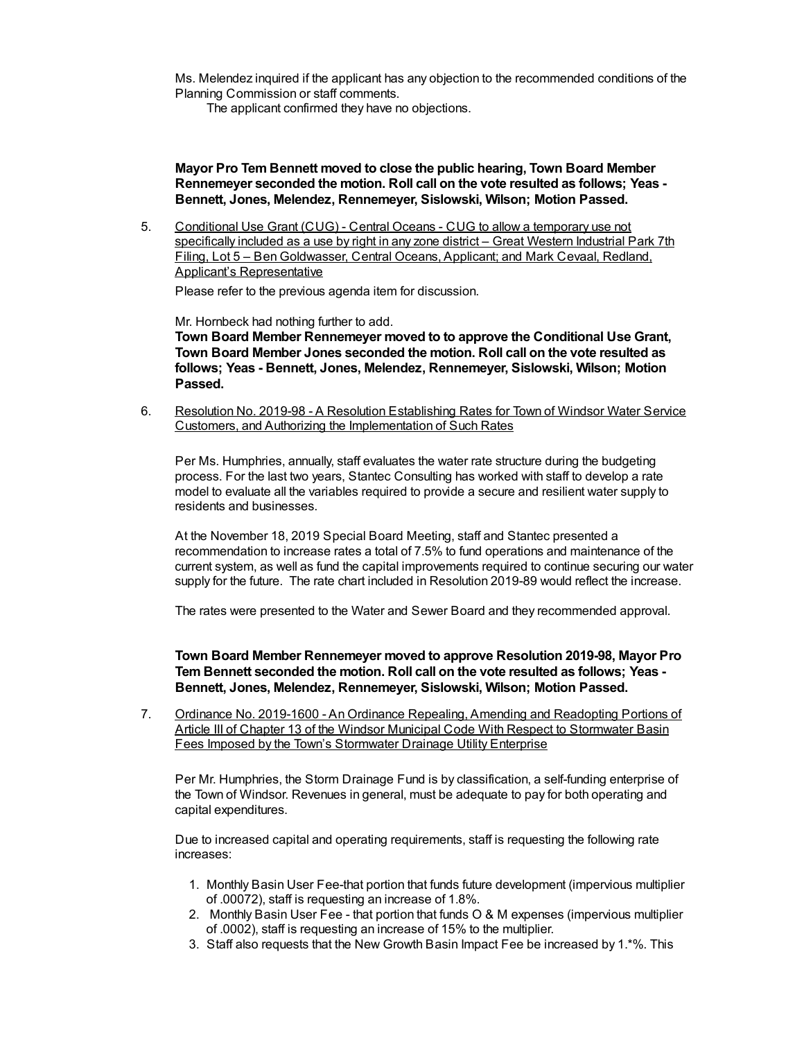Ms. Melendez inquired if the applicant has any objection to the recommended conditions of the Planning Commission or staff comments.

The applicant confirmed they have no objections.

**Mayor Pro Tem Bennett moved to close the public hearing, Town Board Member Rennemeyer seconded the motion. Roll call on the vote resulted as follows; Yeas - Bennett, Jones, Melendez, Rennemeyer, Sislowski, Wilson; Motion Passed.**

5. Conditional Use Grant (CUG) - Central Oceans - CUG to allow a temporary use not specifically included as a use by right in any zone district – Great Western Industrial Park 7th Filing, Lot 5 – Ben Goldwasser, Central Oceans, Applicant; and Mark Cevaal, Redland, Applicant's Representative

Please refer to the previous agenda item for discussion.

Mr. Hornbeck had nothing further to add.

**Town Board Member Rennemeyer moved to to approve the Conditional Use Grant, Town Board Member Jones seconded the motion. Roll call on the vote resulted as follows; Yeas - Bennett, Jones, Melendez, Rennemeyer, Sislowski, Wilson; Motion Passed.**

6. Resolution No. 2019-98 - A Resolution Establishing Rates for Town of Windsor Water Service Customers, and Authorizing the Implementation of Such Rates

Per Ms. Humphries, annually, staff evaluates the water rate structure during the budgeting process. For the last two years, Stantec Consulting has worked with staff to develop a rate model to evaluate all the variables required to provide a secure and resilient water supply to residents and businesses.

At the November 18, 2019 Special Board Meeting, staff and Stantec presented a recommendation to increase rates a total of 7.5% to fund operations and maintenance of the current system, as well as fund the capital improvements required to continue securing our water supply for the future. The rate chart included in Resolution 2019-89 would reflect the increase.

The rates were presented to the Water and Sewer Board and they recommended approval.

**Town Board Member Rennemeyer moved to approve Resolution 2019-98, Mayor Pro Tem Bennett seconded the motion. Roll call on the vote resulted as follows; Yeas - Bennett, Jones, Melendez, Rennemeyer, Sislowski, Wilson; Motion Passed.**

7. Ordinance No. 2019-1600 - An Ordinance Repealing, Amending and Readopting Portions of Article III of Chapter 13 of the Windsor Municipal Code With Respect to Stormwater Basin Fees Imposed by the Town's Stormwater Drainage Utility Enterprise

Per Mr. Humphries, the Storm Drainage Fund is by classification, a self-funding enterprise of the Town of Windsor. Revenues in general, must be adequate to pay for both operating and capital expenditures.

Due to increased capital and operating requirements, staff is requesting the following rate increases:

- 1. Monthly Basin User Fee-that portion that funds future development (impervious multiplier of .00072), staff is requesting an increase of 1.8%.
- 2. Monthly Basin User Fee that portion that funds O & M expenses (impervious multiplier of .0002), staff is requesting an increase of 15% to the multiplier.
- 3. Staff also requests that the New Growth Basin Impact Fee be increased by 1.\*%. This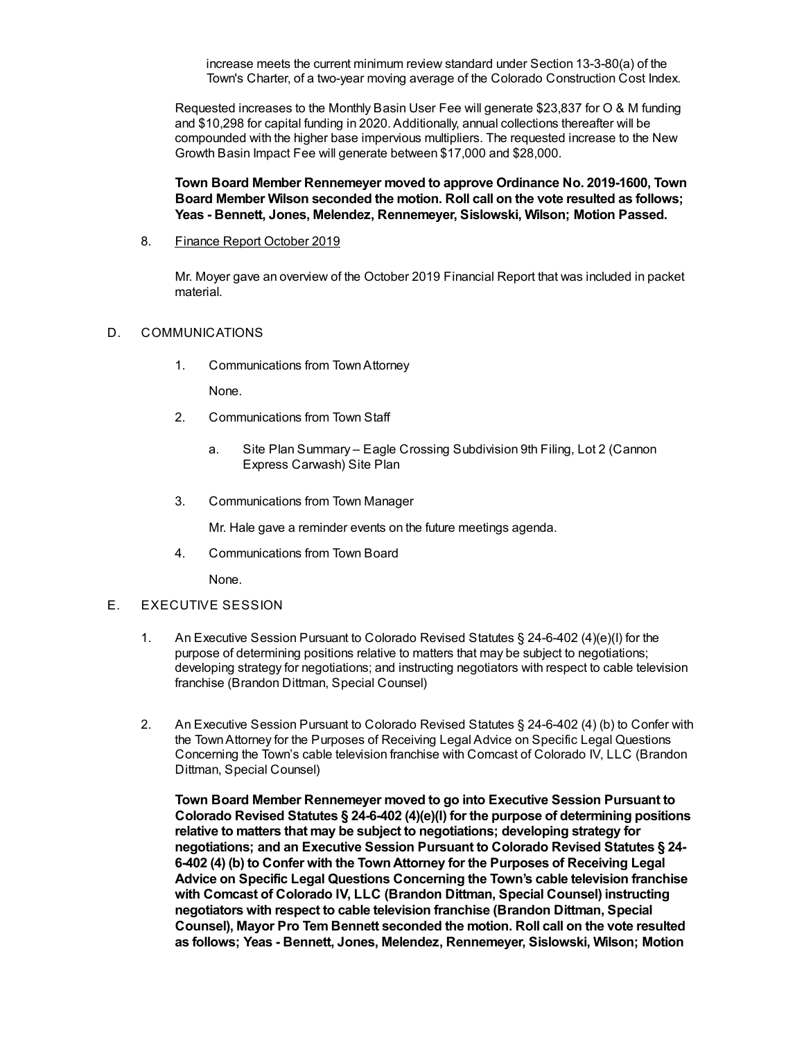increase meets the current minimum review standard under Section 13-3-80(a) of the Town's Charter, of a two-year moving average of the Colorado Construction Cost Index.

Requested increases to the Monthly Basin User Fee will generate \$23,837 for O & M funding and \$10,298 for capital funding in 2020. Additionally, annual collections thereafter will be compounded with the higher base impervious multipliers. The requested increase to the New Growth Basin Impact Fee will generate between \$17,000 and \$28,000.

**Town Board Member Rennemeyer moved to approve Ordinance No. 2019-1600, Town Board Member Wilson seconded the motion. Roll call on the vote resulted as follows; Yeas - Bennett, Jones, Melendez, Rennemeyer, Sislowski, Wilson; Motion Passed.**

8. Finance Report October 2019

Mr. Moyer gave an overview of the October 2019 Financial Report that was included in packet material.

### D. COMMUNICATIONS

1. Communications from TownAttorney

None.

- 2. Communications from Town Staff
	- a. Site Plan Summary Eagle Crossing Subdivision 9th Filing, Lot 2 (Cannon Express Carwash) Site Plan
- 3. Communications from Town Manager

Mr. Hale gave a reminder events on the future meetings agenda.

4. Communications from Town Board

None.

### E. EXECUTIVE SESSION

- 1. An Executive Session Pursuant to Colorado Revised Statutes § 24-6-402 (4)(e)(I) for the purpose of determining positions relative to matters that may be subject to negotiations; developing strategy for negotiations; and instructing negotiators with respect to cable television franchise (Brandon Dittman, Special Counsel)
- 2. An Executive Session Pursuant to Colorado Revised Statutes § 24-6-402 (4) (b) to Confer with the TownAttorney for the Purposes of Receiving Legal Advice on Specific Legal Questions Concerning the Town's cable television franchise with Comcast of Colorado IV, LLC (Brandon Dittman, Special Counsel)

**Town Board Member Rennemeyer moved to go into Executive Session Pursuant to Colorado Revised Statutes § 24-6-402 (4)(e)(I) for the purpose of determining positions relative to matters that may be subject to negotiations; developing strategy for negotiations; and an Executive Session Pursuant to Colorado Revised Statutes § 24- 6-402 (4) (b) to Confer with the TownAttorney for the Purposes of Receiving Legal Advice on Specific Legal Questions Concerning the Town's cable television franchise with Comcast of Colorado IV, LLC (Brandon Dittman, Special Counsel) instructing negotiators with respect to cable television franchise (Brandon Dittman, Special Counsel), Mayor Pro Tem Bennett seconded the motion. Roll call on the vote resulted as follows; Yeas - Bennett, Jones, Melendez, Rennemeyer, Sislowski, Wilson; Motion**